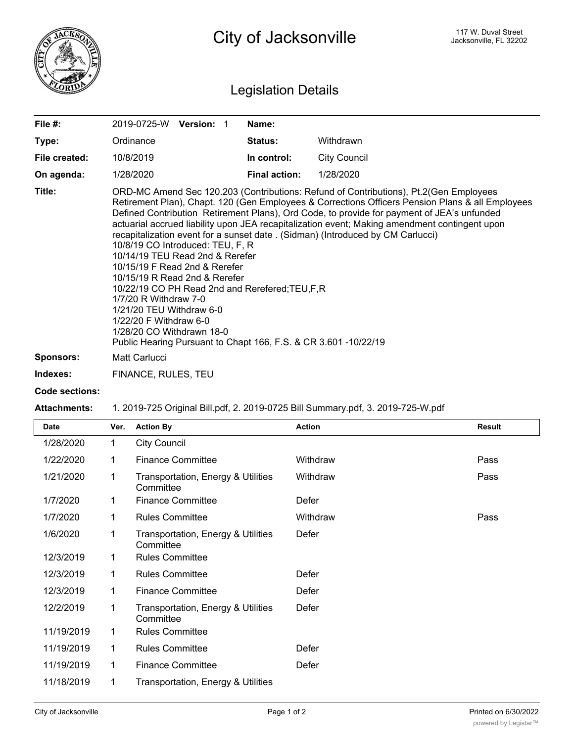

## Legislation Details

| File #:          | 2019-0725-W Version: 1                                                                                                                                                                                                                                                                                                                                                                                                                                                                                                                                                                                                                                                                                                                                                                                                                                  | Name:                |                     |  |
|------------------|---------------------------------------------------------------------------------------------------------------------------------------------------------------------------------------------------------------------------------------------------------------------------------------------------------------------------------------------------------------------------------------------------------------------------------------------------------------------------------------------------------------------------------------------------------------------------------------------------------------------------------------------------------------------------------------------------------------------------------------------------------------------------------------------------------------------------------------------------------|----------------------|---------------------|--|
| Type:            | Ordinance                                                                                                                                                                                                                                                                                                                                                                                                                                                                                                                                                                                                                                                                                                                                                                                                                                               | <b>Status:</b>       | Withdrawn           |  |
| File created:    | 10/8/2019                                                                                                                                                                                                                                                                                                                                                                                                                                                                                                                                                                                                                                                                                                                                                                                                                                               | In control:          | <b>City Council</b> |  |
| On agenda:       | 1/28/2020                                                                                                                                                                                                                                                                                                                                                                                                                                                                                                                                                                                                                                                                                                                                                                                                                                               | <b>Final action:</b> | 1/28/2020           |  |
| Title:           | ORD-MC Amend Sec 120.203 (Contributions: Refund of Contributions), Pt.2(Gen Employees<br>Retirement Plan), Chapt. 120 (Gen Employees & Corrections Officers Pension Plans & all Employees<br>Defined Contribution Retirement Plans), Ord Code, to provide for payment of JEA's unfunded<br>actuarial accrued liability upon JEA recapitalization event; Making amendment contingent upon<br>recapitalization event for a sunset date . (Sidman) (Introduced by CM Carlucci)<br>10/8/19 CO Introduced: TEU, F, R<br>10/14/19 TEU Read 2nd & Rerefer<br>10/15/19 F Read 2nd & Rerefer<br>10/15/19 R Read 2nd & Rerefer<br>10/22/19 CO PH Read 2nd and Rerefered; TEU, F, R<br>1/7/20 R Withdraw 7-0<br>1/21/20 TEU Withdraw 6-0<br>1/22/20 F Withdraw 6-0<br>1/28/20 CO Withdrawn 18-0<br>Public Hearing Pursuant to Chapt 166, F.S. & CR 3.601 -10/22/19 |                      |                     |  |
| <b>Sponsors:</b> | Matt Carlucci                                                                                                                                                                                                                                                                                                                                                                                                                                                                                                                                                                                                                                                                                                                                                                                                                                           |                      |                     |  |
| Indexes:         | FINANCE, RULES, TEU                                                                                                                                                                                                                                                                                                                                                                                                                                                                                                                                                                                                                                                                                                                                                                                                                                     |                      |                     |  |

## **Code sections:**

## **Attachments:** 1. 2019-725 Original Bill.pdf, 2. 2019-0725 Bill Summary.pdf, 3. 2019-725-W.pdf

| <b>Date</b> | Ver. | <b>Action By</b>                                | <b>Action</b> | <b>Result</b> |
|-------------|------|-------------------------------------------------|---------------|---------------|
| 1/28/2020   | 1    | <b>City Council</b>                             |               |               |
| 1/22/2020   | 1    | <b>Finance Committee</b>                        | Withdraw      | Pass          |
| 1/21/2020   | 1    | Transportation, Energy & Utilities<br>Committee | Withdraw      | Pass          |
| 1/7/2020    | 1    | <b>Finance Committee</b>                        | Defer         |               |
| 1/7/2020    | 1    | <b>Rules Committee</b>                          | Withdraw      | Pass          |
| 1/6/2020    | 1    | Transportation, Energy & Utilities<br>Committee | Defer         |               |
| 12/3/2019   | 1    | <b>Rules Committee</b>                          |               |               |
| 12/3/2019   | 1    | <b>Rules Committee</b>                          | Defer         |               |
| 12/3/2019   | 1    | <b>Finance Committee</b>                        | Defer         |               |
| 12/2/2019   | 1    | Transportation, Energy & Utilities<br>Committee | Defer         |               |
| 11/19/2019  | 1    | <b>Rules Committee</b>                          |               |               |
| 11/19/2019  | 1    | <b>Rules Committee</b>                          | Defer         |               |
| 11/19/2019  | 1    | <b>Finance Committee</b>                        | Defer         |               |
| 11/18/2019  | 1    | Transportation, Energy & Utilities              |               |               |